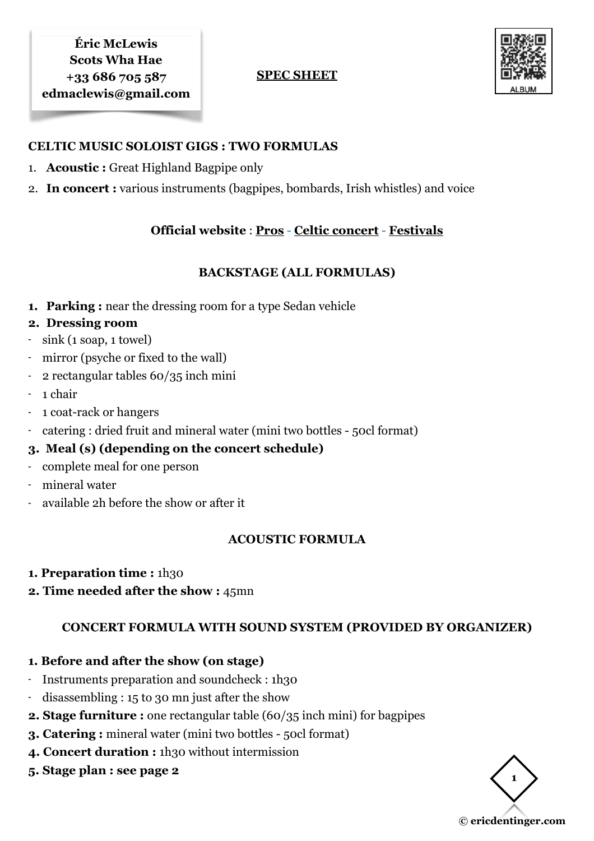#### **SPEC SHEET**



#### **CELTIC MUSIC SOLOIST GIGS : TWO FORMULAS**

- 1. **Acoustic :** Great Highland Bagpipe only
- 2. **In concert :** various instruments (bagpipes, bombards, Irish whistles) and voice

# **Official website** : **[Pros](https://www.ericdentinger.com/en/ericmclewis-pro.html)** - **[Celtic concert](https://www.ericdentinger.com/en/concert-scotswhahae.html)** - **[Festivals](https://www.ericdentinger.com/en/ericmclewis-festivals.html)**

## **BACKSTAGE (ALL FORMULAS)**

**1. Parking :** near the dressing room for a type Sedan vehicle

## **2. Dressing room**

- sink (1 soap, 1 towel)
- mirror (psyche or fixed to the wall)
- 2 rectangular tables 60/35 inch mini
- 1 chair
- 1 coat-rack or hangers
- catering : dried fruit and mineral water (mini two bottles 50cl format)

# **3. Meal (s) (depending on the concert schedule)**

- complete meal for one person
- mineral water
- available 2h before the show or after it

# **ACOUSTIC FORMULA**

- **1. Preparation time : 1h30**
- **2. Time needed after the show :** 45mn

# **CONCERT FORMULA WITH SOUND SYSTEM (PROVIDED BY ORGANIZER)**

#### **1. Before and after the show (on stage)**

- Instruments preparation and soundcheck : 1h30
- $disassembling: 15$  to 30 mn just after the show
- **2. Stage furniture :** one rectangular table (60/35 inch mini) for bagpipes
- **3. Catering :** mineral water (mini two bottles 50cl format)
- **4. Concert duration :** 1h30 without intermission
- **5. Stage plan : see page 2**